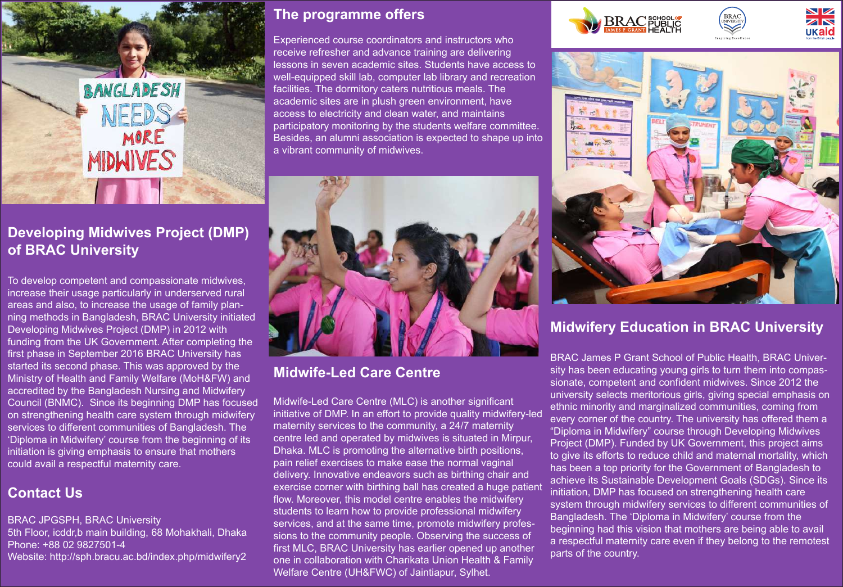

# **Developing Midwives Project (DMP) of BRAC University**

To develop competent and compassionate midwives, increase their usage particularly in underserved rural areas and also, to increase the usage of family planning methods in Bangladesh, BRAC University initiated Developing Midwives Project (DMP) in 2012 with funding from the UK Government. After completing the first phase in September 2016 BRAC University has started its second phase. This was approved by the Ministry of Health and Family Welfare (MoH&FW) and accredited by the Bangladesh Nursing and Midwifery Council (BNMC). Since its beginning DMP has focused on strengthening health care system through midwifery services to different communities of Bangladesh. The 'Diploma in Midwifery' course from the beginning of its initiation is giving emphasis to ensure that mothers could avail a respectful maternity care.

# **Contact Us**

BRAC JPGSPH, BRAC University 5th Floor, icddr,b main building, 68 Mohakhali, Dhaka Phone: +88 02 9827501-4 Website: http://sph.bracu.ac.bd/index.php/midwifery2

#### **The programme offers**

Experienced course coordinators and instructors who receive refresher and advance training are delivering lessons in seven academic sites. Students have access to well-equipped skill lab, computer lab library and recreation facilities. The dormitory caters nutritious meals. The academic sites are in plush green environment, have access to electricity and clean water, and maintains participatory monitoring by the students welfare committee. Besides, an alumni association is expected to shape up into a vibrant community of midwives.



### **Midwife-Led Care Centre**

Midwife-Led Care Centre (MLC) is another significant initiative of DMP. In an effort to provide quality midwifery-led maternity services to the community, a 24/7 maternity centre led and operated by midwives is situated in Mirpur, Dhaka. MLC is promoting the alternative birth positions, pain relief exercises to make ease the normal vaginal delivery. Innovative endeavors such as birthing chair and exercise corner with birthing ball has created a huge patient flow. Moreover, this model centre enables the midwifery students to learn how to provide professional midwifery services, and at the same time, promote midwifery professions to the community people. Observing the success of first MLC, BRAC University has earlier opened up another one in collaboration with Charikata Union Health & Family Welfare Centre (UH&FWC) of Jaintiapur, Sylhet.





#### **Midwifery Education in BRAC University**

BRAC James P Grant School of Public Health, BRAC University has been educating young girls to turn them into compassionate, competent and confident midwives. Since 2012 the university selects meritorious girls, giving special emphasis on ethnic minority and marginalized communities, coming from every corner of the country. The university has offered them a "Diploma in Midwifery" course through Developing Midwives Project (DMP). Funded by UK Government, this project aims to give its efforts to reduce child and maternal mortality, which has been a top priority for the Government of Bangladesh to achieve its Sustainable Development Goals (SDGs). Since its initiation, DMP has focused on strengthening health care system through midwifery services to different communities of Bangladesh. The 'Diploma in Midwifery' course from the beginning had this vision that mothers are being able to avail a respectful maternity care even if they belong to the remotest parts of the country.